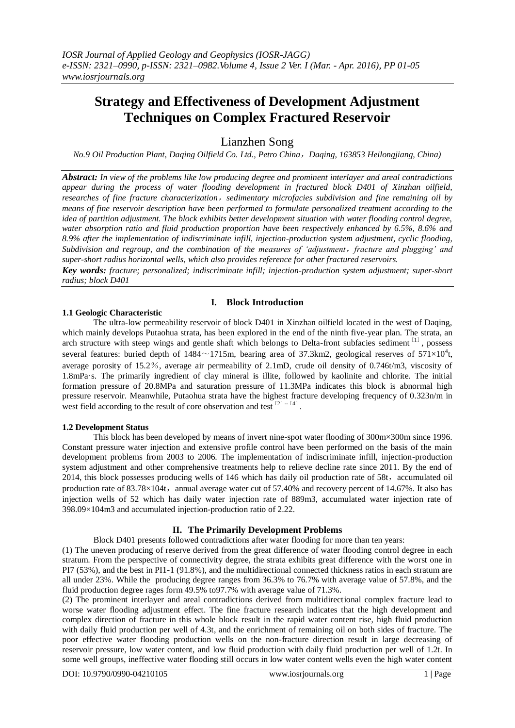# **Strategy and Effectiveness of Development Adjustment Techniques on Complex Fractured Reservoir**

Lianzhen Song

*No.9 Oil Production Plant, Daqing Oilfield Co. Ltd., Petro China*,*Daqing, 163853 Heilongjiang, China)*

*Abstract: In view of the problems like low producing degree and prominent interlayer and areal contradictions appear during the process of water flooding development in fractured block D401 of Xinzhan oilfield, researches of fine fracture characterization*,*sedimentary microfacies subdivision and fine remaining oil by means of fine reservoir description have been performed to formulate personalized treatment according to the idea of partition adjustment. The block exhibits better development situation with water flooding control degree, water absorption ratio and fluid production proportion have been respectively enhanced by 6.5%, 8.6% and 8.9% after the implementation of indiscriminate infill, injection-production system adjustment, cyclic flooding, Subdivision and regroup, and the combination of the measures of 'adjustment*,*fracture and plugging' and super-short radius horizontal wells, which also provides reference for other fractured reservoirs.*

*Key words: fracture; personalized; indiscriminate infill; injection-production system adjustment; super-short radius; block D401*

# **I. Block Introduction**

#### **1.1 Geologic Characteristic**

The ultra-low permeability reservoir of block D401 in Xinzhan oilfield located in the west of Daqing, which mainly develops Putaohua strata, has been explored in the end of the ninth five-year plan. The strata, an arch structure with steep wings and gentle shaft which belongs to Delta-front subfacies sediment [11], possess several features: buried depth of 1484 $\sim$ 1715m, bearing area of 37.3km2, geological reserves of 571 $\times$ 10<sup>4</sup>t, average porosity of 15.2%, average air permeability of 2.1mD, crude oil density of 0.746t/m3, viscosity of 1.8mPa·s. The primarily ingredient of clay mineral is illite, followed by kaolinite and chlorite. The initial formation pressure of 20.8MPa and saturation pressure of 11.3MPa indicates this block is abnormal high pressure reservoir. Meanwhile, Putaohua strata have the highest fracture developing frequency of 0.323n/m in west field according to the result of core observation and test  $^{[2]-[4]}$ .

### **1.2 Development Status**

This block has been developed by means of invert nine-spot water flooding of 300m×300m since 1996. Constant pressure water injection and extensive profile control have been performed on the basis of the main development problems from 2003 to 2006. The implementation of indiscriminate infill, injection-production system adjustment and other comprehensive treatments help to relieve decline rate since 2011. By the end of 2014, this block possesses producing wells of 146 which has daily oil production rate of 58t, accumulated oil production rate of  $83.78\times104t$ , annual average water cut of 57.40% and recovery percent of 14.67%. It also has injection wells of 52 which has daily water injection rate of 889m3, accumulated water injection rate of 398.09×104m3 and accumulated injection-production ratio of 2.22.

### **II. The Primarily Development Problems**

Block D401 presents followed contradictions after water flooding for more than ten years: (1) The uneven producing of reserve derived from the great difference of water flooding control degree in each stratum. From the perspective of connectivity degree, the strata exhibits great difference with the worst one in PI7 (53%), and the best in PI1-1 (91.8%), and the multidirectional connected thickness ratios in each stratum are all under 23%. While the producing degree ranges from 36.3% to 76.7% with average value of 57.8%, and the

fluid production degree rages form 49.5% to97.7% with average value of 71.3%. (2) The prominent interlayer and areal contradictions derived from multidirectional complex fracture lead to worse water flooding adjustment effect. The fine fracture research indicates that the high development and complex direction of fracture in this whole block result in the rapid water content rise, high fluid production with daily fluid production per well of 4.3t, and the enrichment of remaining oil on both sides of fracture. The poor effective water flooding production wells on the non-fracture direction result in large decreasing of reservoir pressure, low water content, and low fluid production with daily fluid production per well of 1.2t. In some well groups, ineffective water flooding still occurs in low water content wells even the high water content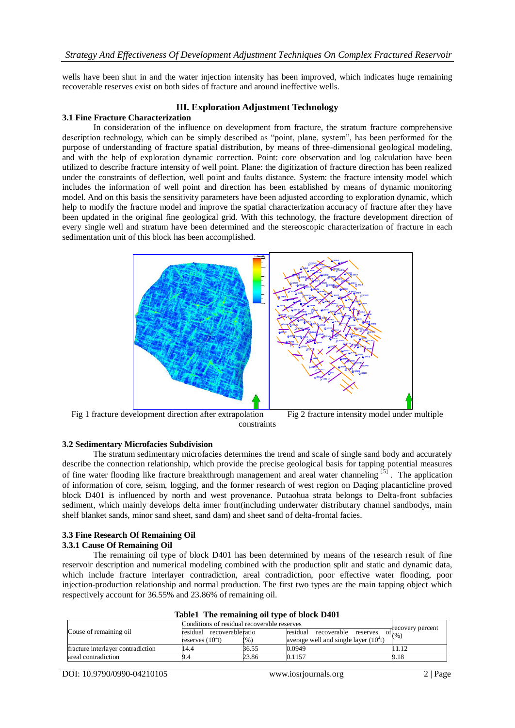wells have been shut in and the water injection intensity has been improved, which indicates huge remaining recoverable reserves exist on both sides of fracture and around ineffective wells.

# **III. Exploration Adjustment Technology**

#### **3.1 Fine Fracture Characterization**

In consideration of the influence on development from fracture, the stratum fracture comprehensive description technology, which can be simply described as "point, plane, system", has been performed for the purpose of understanding of fracture spatial distribution, by means of three-dimensional geological modeling, and with the help of exploration dynamic correction. Point: core observation and log calculation have been utilized to describe fracture intensity of well point. Plane: the digitization of fracture direction has been realized under the constraints of deflection, well point and faults distance. System: the fracture intensity model which includes the information of well point and direction has been established by means of dynamic monitoring model. And on this basis the sensitivity parameters have been adjusted according to exploration dynamic, which help to modify the fracture model and improve the spatial characterization accuracy of fracture after they have been updated in the original fine geological grid. With this technology, the fracture development direction of every single well and stratum have been determined and the stereoscopic characterization of fracture in each sedimentation unit of this block has been accomplished.



Fig 1 fracture development direction after extrapolation Fig 2 fracture intensity model under multiple constraints

# **3.2 Sedimentary Microfacies Subdivision**

The stratum sedimentary microfacies determines the trend and scale of single sand body and accurately describe the connection relationship, which provide the precise geological basis for tapping potential measures of fine water flooding like fracture breakthrough management and areal water channeling<sup>[5]</sup>. The application of information of core, seism, logging, and the former research of west region on Daqing placanticline proved block D401 is influenced by north and west provenance. Putaohua strata belongs to Delta-front subfacies sediment, which mainly develops delta inner front(including underwater distributary channel sandbodys, main shelf blanket sands, minor sand sheet, sand dam) and sheet sand of delta-frontal facies.

#### **3.3 Fine Research Of Remaining Oil 3.3.1 Cause Of Remaining Oil**

The remaining oil type of block D401 has been determined by means of the research result of fine reservoir description and numerical modeling combined with the production split and static and dynamic data, which include fracture interlayer contradiction, areal contradiction, poor effective water flooding, poor injection-production relationship and normal production. The first two types are the main tapping object which respectively account for 36.55% and 23.86% of remaining oil.

| $\frac{1}{2}$                     |                                             |       |                                        |                                          |  |  |  |
|-----------------------------------|---------------------------------------------|-------|----------------------------------------|------------------------------------------|--|--|--|
| Couse of remaining oil            | Conditions of residual recoverable reserves |       |                                        |                                          |  |  |  |
|                                   | residual recoverableratio                   |       | recoverable reserves<br>residual       | $\sigma^{\text{recovery percent}}_{(%)}$ |  |  |  |
|                                   | reserves $(104t)$                           | (%)   | average well and single layer $(104t)$ |                                          |  |  |  |
| fracture interlaver contradiction | 14.4                                        | 36.55 | 0.0949                                 |                                          |  |  |  |
| areal contradiction               |                                             | 23.86 | 0.1157                                 | 9.18                                     |  |  |  |

**Table1 The remaining oil type of block D401**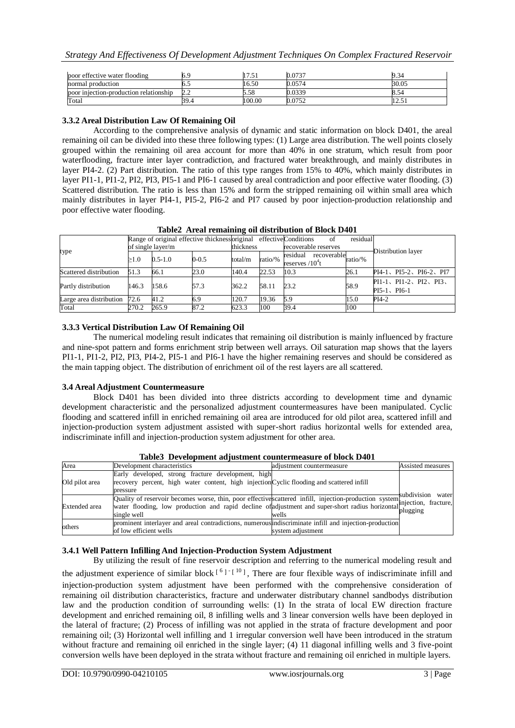| poor effective water flooding          |      | .      | 0.0737 | 9.34     |
|----------------------------------------|------|--------|--------|----------|
| normal production                      | ∪.∟  | 16.50  | 0.0574 | 30.05    |
| poor injection-production relationship | 2.2  | 5.58   | 0.0339 | 5.54 ه   |
| Total                                  | 39.4 | 100.00 | 0.0752 | ل في عمل |

# **3.3.2 Areal Distribution Law Of Remaining Oil**

According to the comprehensive analysis of dynamic and static information on block D401, the areal remaining oil can be divided into these three following types: (1) Large area distribution. The well points closely grouped within the remaining oil area account for more than 40% in one stratum, which result from poor waterflooding, fracture inter layer contradiction, and fractured water breakthrough, and mainly distributes in layer PI4-2. (2) Part distribution. The ratio of this type ranges from 15% to 40%, which mainly distributes in layer PI1-1, PI1-2, PI2, PI3, PI5-1 and PI6-1 caused by areal contradiction and poor effective water flooding. (3) Scattered distribution. The ratio is less than 15% and form the stripped remaining oil within small area which mainly distributes in layer PI4-1, PI5-2, PI6-2 and PI7 caused by poor injection-production relationship and poor effective water flooding.

|                         | Range of original effective thicknessoriginal effective Conditions |             |           |           |         | 0ľ                                    | residual |                                     |  |
|-------------------------|--------------------------------------------------------------------|-------------|-----------|-----------|---------|---------------------------------------|----------|-------------------------------------|--|
| type                    | of single layer/m                                                  |             |           | thickness |         | recoverable reserves                  |          | Distribution layer                  |  |
|                         | >1.0                                                               | $0.5 - 1.0$ | $0 - 0.5$ | total/m   | ratio/% | residual<br>$recoveredble$ $ratio/\%$ |          |                                     |  |
|                         |                                                                    |             |           |           |         | reserves $/10^4t$                     |          |                                     |  |
| Scattered distribution  | 51.3                                                               | 66.1        | 23.0      | 140.4     | 22.53   | 10.3                                  | 26.1     | PI4-1、PI5-2、PI6-2、PI7               |  |
| Partly distribution     | 158.6<br>146.3                                                     |             | 57.3      | 362.2     | 58.11   | 23.2                                  | 58.9     | $PI1-1$ , $PI1-2$ , $PI2$ , $PI3$ , |  |
|                         |                                                                    |             |           |           |         |                                       |          | $PI5-1$ , $PI6-1$                   |  |
| Large area distribution | 72.6                                                               | 41.2        | 6.9       | 120.7     | 19.36   | 5.9                                   | 15.0     | PI4-2                               |  |
| Total                   | 270.2                                                              | 265.9       | 87.2      | 623.3     | 100     | 39.4                                  | 100      |                                     |  |

**Table2 Areal remaining oil distribution of Block D401**

# **3.3.3 Vertical Distribution Law Of Remaining Oil**

The numerical modeling result indicates that remaining oil distribution is mainly influenced by fracture and nine-spot pattern and forms enrichment strip between well arrays. Oil saturation map shows that the layers PI1-1, PI1-2, PI2, PI3, PI4-2, PI5-1 and PI6-1 have the higher remaining reserves and should be considered as the main tapping object. The distribution of enrichment oil of the rest layers are all scattered.

# **3.4 Areal Adjustment Countermeasure**

Block D401 has been divided into three districts according to development time and dynamic development characteristic and the personalized adjustment countermeasures have been manipulated. Cyclic flooding and scattered infill in enriched remaining oil area are introduced for old pilot area, scattered infill and injection-production system adjustment assisted with super-short radius horizontal wells for extended area, indiscriminate infill and injection-production system adjustment for other area.

| Area                 | Development characteristics                                                                                                                                                                                                                      | adjustment countermeasure | Assisted measures                |
|----------------------|--------------------------------------------------------------------------------------------------------------------------------------------------------------------------------------------------------------------------------------------------|---------------------------|----------------------------------|
| Old pilot area       | Early developed, strong fracture development, high<br>recovery percent, high water content, high injection Cyclic flooding and scattered infill<br>pressure                                                                                      |                           |                                  |
| <b>Extended</b> area | Quality of reservoir becomes worse, thin, poor effective scattered infill, injection-production system suburvision water<br>water flooding, low production and rapid decline of adjustment and super-short radius horizontal inte<br>single well | wells                     | subdivision<br>water<br>plugging |
| others               | prominent interlayer and areal contradictions, numerous indiscriminate infill and injection-production<br>of low efficient wells                                                                                                                 | system adjustment         |                                  |

**Table3 Development adjustment countermeasure of block D401**

# **3.4.1 Well Pattern Infilling And Injection-Production System Adjustment**

By utilizing the result of fine reservoir description and referring to the numerical modeling result and the adjustment experience of similar block<sup>[6]-[10</sup>], There are four flexible ways of indiscriminate infill and injection-production system adjustment have been performed with the comprehensive consideration of remaining oil distribution characteristics, fracture and underwater distributary channel sandbodys distribution law and the production condition of surrounding wells: (1) In the strata of local EW direction fracture development and enriched remaining oil, 8 infilling wells and 3 linear conversion wells have been deployed in the lateral of fracture; (2) Process of infilling was not applied in the strata of fracture development and poor remaining oil; (3) Horizontal well infilling and 1 irregular conversion well have been introduced in the stratum without fracture and remaining oil enriched in the single layer; (4) 11 diagonal infilling wells and 3 five-point conversion wells have been deployed in the strata without fracture and remaining oil enriched in multiple layers.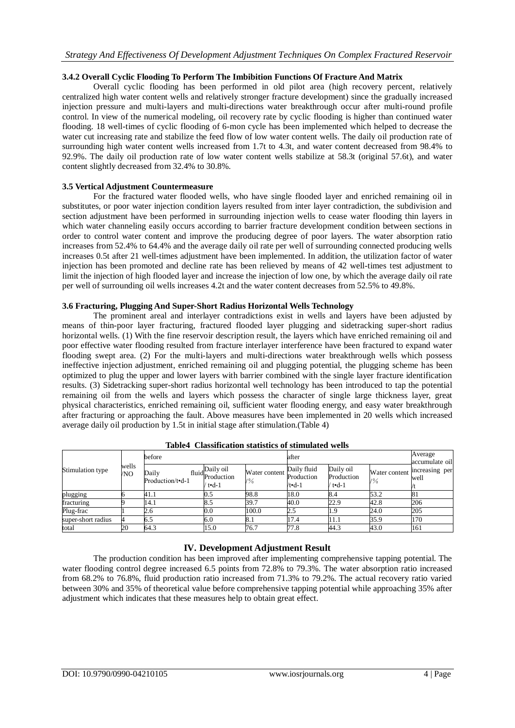# **3.4.2 Overall Cyclic Flooding To Perform The Imbibition Functions Of Fracture And Matrix**

Overall cyclic flooding has been performed in old pilot area (high recovery percent, relatively centralized high water content wells and relatively stronger fracture development) since the gradually increased injection pressure and multi-layers and multi-directions water breakthrough occur after multi-round profile control. In view of the numerical modeling, oil recovery rate by cyclic flooding is higher than continued water flooding. 18 well-times of cyclic flooding of 6-mon cycle has been implemented which helped to decrease the water cut increasing rate and stabilize the feed flow of low water content wells. The daily oil production rate of surrounding high water content wells increased from 1.7t to 4.3t, and water content decreased from 98.4% to 92.9%. The daily oil production rate of low water content wells stabilize at 58.3t (original 57.6t), and water content slightly decreased from 32.4% to 30.8%.

# **3.5 Vertical Adjustment Countermeasure**

For the fractured water flooded wells, who have single flooded layer and enriched remaining oil in substitutes, or poor water injection condition layers resulted from inter layer contradiction, the subdivision and section adjustment have been performed in surrounding injection wells to cease water flooding thin layers in which water channeling easily occurs according to barrier fracture development condition between sections in order to control water content and improve the producing degree of poor layers. The water absorption ratio increases from 52.4% to 64.4% and the average daily oil rate per well of surrounding connected producing wells increases 0.5t after 21 well-times adjustment have been implemented. In addition, the utilization factor of water injection has been promoted and decline rate has been relieved by means of 42 well-times test adjustment to limit the injection of high flooded layer and increase the injection of low one, by which the average daily oil rate per well of surrounding oil wells increases 4.2t and the water content decreases from 52.5% to 49.8%.

# **3.6 Fracturing, Plugging And Super-Short Radius Horizontal Wells Technology**

The prominent areal and interlayer contradictions exist in wells and layers have been adjusted by means of thin-poor layer fracturing, fractured flooded layer plugging and sidetracking super-short radius horizontal wells. (1) With the fine reservoir description result, the layers which have enriched remaining oil and poor effective water flooding resulted from fracture interlayer interference have been fractured to expand water flooding swept area. (2) For the multi-layers and multi-directions water breakthrough wells which possess ineffective injection adjustment, enriched remaining oil and plugging potential, the plugging scheme has been optimized to plug the upper and lower layers with barrier combined with the single layer fracture identification results. (3) Sidetracking super-short radius horizontal well technology has been introduced to tap the potential remaining oil from the wells and layers which possess the character of single large thickness layer, great physical characteristics, enriched remaining oil, sufficient water flooding energy, and easy water breakthrough after fracturing or approaching the fault. Above measures have been implemented in 20 wells which increased average daily oil production by 1.5t in initial stage after stimulation.(Table 4)

| Stimulation type   | wells<br>/NO | before                    |                                          |                                  | after                                       |                                    |                                  | Average<br>accumulate oil |
|--------------------|--------------|---------------------------|------------------------------------------|----------------------------------|---------------------------------------------|------------------------------------|----------------------------------|---------------------------|
|                    |              | Daily<br>Production/t•d-1 | fluid Daily oil<br>Production<br>/ t∙d-1 | Water content<br>$/ \frac{9}{6}$ | Daily fluid<br>Production<br>$/t \cdot d-1$ | Daily oil<br>Production<br>/ t∙d-1 | Water content<br>$/ \frac{9}{6}$ | increasing per<br>well    |
| plugging           |              | 41.1                      | 0.5                                      | 98.8                             | 18.0                                        | 8.4                                | 53.2                             | 81                        |
| fracturing         |              | 14.1                      | 8.5                                      | 39.7                             | 40.0                                        | 22.9                               | 42.8                             | 206                       |
| Plug-frac          |              | 2.6                       | $_{0.0}$                                 | 100.0                            | 2.5                                         | 1.9                                | 24.0                             | 205                       |
| super-short radius |              | 6.5                       | 6.0                                      | 8.1                              | 17.4                                        | 11.1                               | 35.9                             | 170                       |
| total              | 20           | 64.3                      | 15.0                                     | 76.7                             | 77.8                                        | 44.3                               | 43.0                             | 161                       |

## **Table4 Classification statistics of stimulated wells**

# **IV. Development Adjustment Result**

The production condition has been improved after implementing comprehensive tapping potential. The water flooding control degree increased 6.5 points from 72.8% to 79.3%. The water absorption ratio increased from 68.2% to 76.8%, fluid production ratio increased from 71.3% to 79.2%. The actual recovery ratio varied between 30% and 35% of theoretical value before comprehensive tapping potential while approaching 35% after adjustment which indicates that these measures help to obtain great effect.